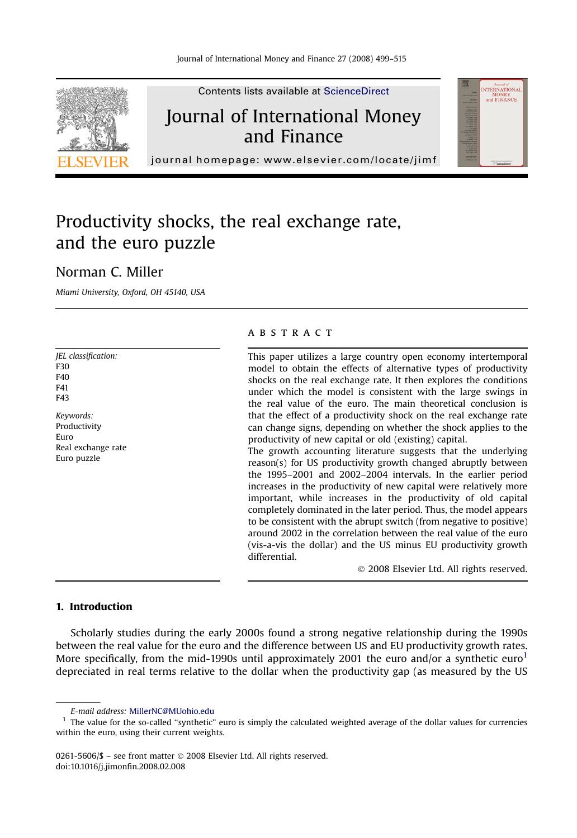

Contents lists available at [ScienceDirect](www.sciencedirect.com/science/journal/02615606)

## Journal of International Money and Finance



journal homepage:<www.elsevier.com/locate/jimf>

# Productivity shocks, the real exchange rate, and the euro puzzle

### Norman C. Miller

Miami University, Oxford, OH 45140, USA

JEL classification: F30 F40 F41 F43 Keywords: Productivity Euro Real exchange rate Euro puzzle

#### **ABSTRACT**

This paper utilizes a large country open economy intertemporal model to obtain the effects of alternative types of productivity shocks on the real exchange rate. It then explores the conditions under which the model is consistent with the large swings in the real value of the euro. The main theoretical conclusion is that the effect of a productivity shock on the real exchange rate can change signs, depending on whether the shock applies to the productivity of new capital or old (existing) capital.

The growth accounting literature suggests that the underlying reason(s) for US productivity growth changed abruptly between the 1995–2001 and 2002–2004 intervals. In the earlier period increases in the productivity of new capital were relatively more important, while increases in the productivity of old capital completely dominated in the later period. Thus, the model appears to be consistent with the abrupt switch (from negative to positive) around 2002 in the correlation between the real value of the euro (vis-a-vis the dollar) and the US minus EU productivity growth differential.

- 2008 Elsevier Ltd. All rights reserved.

#### 1. Introduction

Scholarly studies during the early 2000s found a strong negative relationship during the 1990s between the real value for the euro and the difference between US and EU productivity growth rates. More specifically, from the mid-1990s until approximately 2001 the euro and/or a synthetic euro<sup>1</sup> depreciated in real terms relative to the dollar when the productivity gap (as measured by the US

0261-5606/\$ – see front matter © 2008 Elsevier Ltd. All rights reserved. doi:10.1016/j.jimonfin.2008.02.008

E-mail address: [MillerNC@MUohio.edu](mailto:MillerNC@MUohio.edu)

 $<sup>1</sup>$  The value for the so-called "synthetic" euro is simply the calculated weighted average of the dollar values for currencies</sup> within the euro, using their current weights.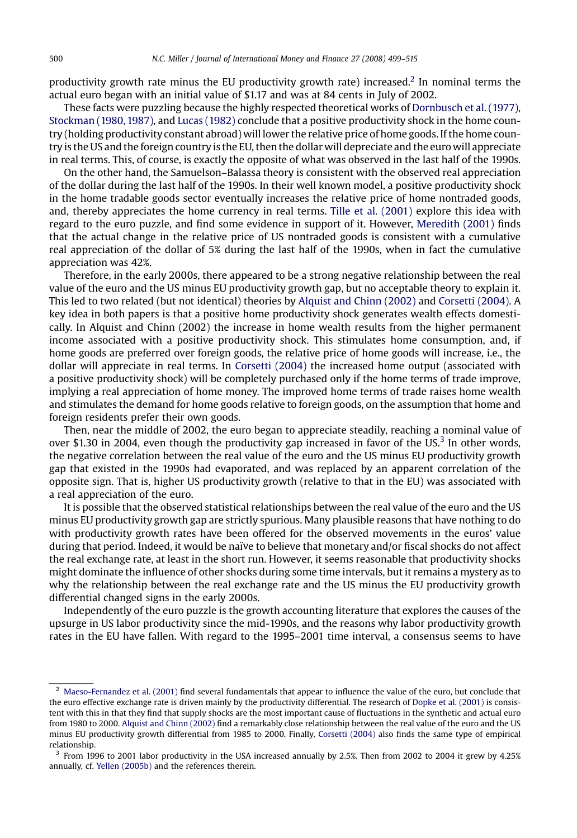productivity growth rate minus the EU productivity growth rate) increased.<sup>2</sup> In nominal terms the actual euro began with an initial value of \$1.17 and was at 84 cents in July of 2002.

These facts were puzzling because the highly respected theoretical works of [Dornbusch et al. \(1977\),](#page--1-0) [Stockman \(1980, 1987\)](#page--1-0), and [Lucas \(1982\)](#page--1-0) conclude that a positive productivity shock in the home country (holding productivity constant abroad) will lower the relative price of home goods. If the home country is the US and the foreign country is the EU, then the dollar will depreciate and the eurowill appreciate in real terms. This, of course, is exactly the opposite of what was observed in the last half of the 1990s.

On the other hand, the Samuelson–Balassa theory is consistent with the observed real appreciation of the dollar during the last half of the 1990s. In their well known model, a positive productivity shock in the home tradable goods sector eventually increases the relative price of home nontraded goods, and, thereby appreciates the home currency in real terms. [Tille et al. \(2001\)](#page--1-0) explore this idea with regard to the euro puzzle, and find some evidence in support of it. However, [Meredith \(2001\)](#page--1-0) finds that the actual change in the relative price of US nontraded goods is consistent with a cumulative real appreciation of the dollar of 5% during the last half of the 1990s, when in fact the cumulative appreciation was 42%.

Therefore, in the early 2000s, there appeared to be a strong negative relationship between the real value of the euro and the US minus EU productivity growth gap, but no acceptable theory to explain it. This led to two related (but not identical) theories by [Alquist and Chinn \(2002\)](#page--1-0) and [Corsetti \(2004\).](#page--1-0) A key idea in both papers is that a positive home productivity shock generates wealth effects domestically. In Alquist and Chinn (2002) the increase in home wealth results from the higher permanent income associated with a positive productivity shock. This stimulates home consumption, and, if home goods are preferred over foreign goods, the relative price of home goods will increase, i.e., the dollar will appreciate in real terms. In [Corsetti \(2004\)](#page--1-0) the increased home output (associated with a positive productivity shock) will be completely purchased only if the home terms of trade improve, implying a real appreciation of home money. The improved home terms of trade raises home wealth and stimulates the demand for home goods relative to foreign goods, on the assumption that home and foreign residents prefer their own goods.

Then, near the middle of 2002, the euro began to appreciate steadily, reaching a nominal value of over \$1.30 in 2004, even though the productivity gap increased in favor of the US.<sup>3</sup> In other words, the negative correlation between the real value of the euro and the US minus EU productivity growth gap that existed in the 1990s had evaporated, and was replaced by an apparent correlation of the opposite sign. That is, higher US productivity growth (relative to that in the EU) was associated with a real appreciation of the euro.

It is possible that the observed statistical relationships between the real value of the euro and the US minus EU productivity growth gap are strictly spurious. Many plausible reasons that have nothing to do with productivity growth rates have been offered for the observed movements in the euros' value during that period. Indeed, it would be naïve to believe that monetary and/or fiscal shocks do not affect the real exchange rate, at least in the short run. However, it seems reasonable that productivity shocks might dominate the influence of other shocks during some time intervals, but it remains a mystery as to why the relationship between the real exchange rate and the US minus the EU productivity growth differential changed signs in the early 2000s.

Independently of the euro puzzle is the growth accounting literature that explores the causes of the upsurge in US labor productivity since the mid-1990s, and the reasons why labor productivity growth rates in the EU have fallen. With regard to the 1995–2001 time interval, a consensus seems to have

 $2$  [Maeso-Fernandez et al. \(2001\)](#page--1-0) find several fundamentals that appear to influence the value of the euro, but conclude that the euro effective exchange rate is driven mainly by the productivity differential. The research of [Dopke et al. \(2001\)](#page--1-0) is consistent with this in that they find that supply shocks are the most important cause of fluctuations in the synthetic and actual euro from 1980 to 2000. [Alquist and Chinn \(2002\)](#page--1-0) find a remarkably close relationship between the real value of the euro and the US minus EU productivity growth differential from 1985 to 2000. Finally, [Corsetti \(2004\)](#page--1-0) also finds the same type of empirical relationship.

<sup>3</sup> From 1996 to 2001 labor productivity in the USA increased annually by 2.5%. Then from 2002 to 2004 it grew by 4.25% annually, cf. [Yellen \(2005b\)](#page--1-0) and the references therein.